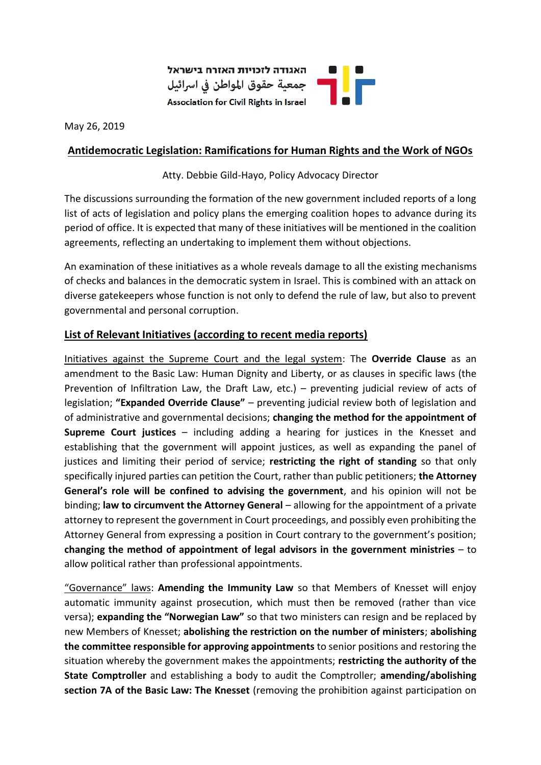

May 26, 2019

## **Antidemocratic Legislation: Ramifications for Human Rights and the Work of NGOs**

Atty. Debbie Gild-Hayo, Policy Advocacy Director

The discussions surrounding the formation of the new government included reports of a long list of acts of legislation and policy plans the emerging coalition hopes to advance during its period of office. It is expected that many of these initiatives will be mentioned in the coalition agreements, reflecting an undertaking to implement them without objections.

An examination of these initiatives as a whole reveals damage to all the existing mechanisms of checks and balances in the democratic system in Israel. This is combined with an attack on diverse gatekeepers whose function is not only to defend the rule of law, but also to prevent governmental and personal corruption.

## **List of Relevant Initiatives (according to recent media reports)**

Initiatives against the Supreme Court and the legal system: The **Override Clause** as an amendment to the Basic Law: Human Dignity and Liberty, or as clauses in specific laws (the Prevention of Infiltration Law, the Draft Law, etc.) – preventing judicial review of acts of legislation; **"Expanded Override Clause"** – preventing judicial review both of legislation and of administrative and governmental decisions; **changing the method for the appointment of Supreme Court justices** – including adding a hearing for justices in the Knesset and establishing that the government will appoint justices, as well as expanding the panel of justices and limiting their period of service; **restricting the right of standing** so that only specifically injured parties can petition the Court, rather than public petitioners; **the Attorney General's role will be confined to advising the government**, and his opinion will not be binding; **law to circumvent the Attorney General** – allowing for the appointment of a private attorney to represent the government in Court proceedings, and possibly even prohibiting the Attorney General from expressing a position in Court contrary to the government's position; **changing the method of appointment of legal advisors in the government ministries** – to allow political rather than professional appointments.

"Governance" laws: **Amending the Immunity Law** so that Members of Knesset will enjoy automatic immunity against prosecution, which must then be removed (rather than vice versa); **expanding the "Norwegian Law"** so that two ministers can resign and be replaced by new Members of Knesset; **abolishing the restriction on the number of ministers**; **abolishing the committee responsible for approving appointments** to senior positions and restoring the situation whereby the government makes the appointments; **restricting the authority of the State Comptroller** and establishing a body to audit the Comptroller; **amending/abolishing section 7A of the Basic Law: The Knesset** (removing the prohibition against participation on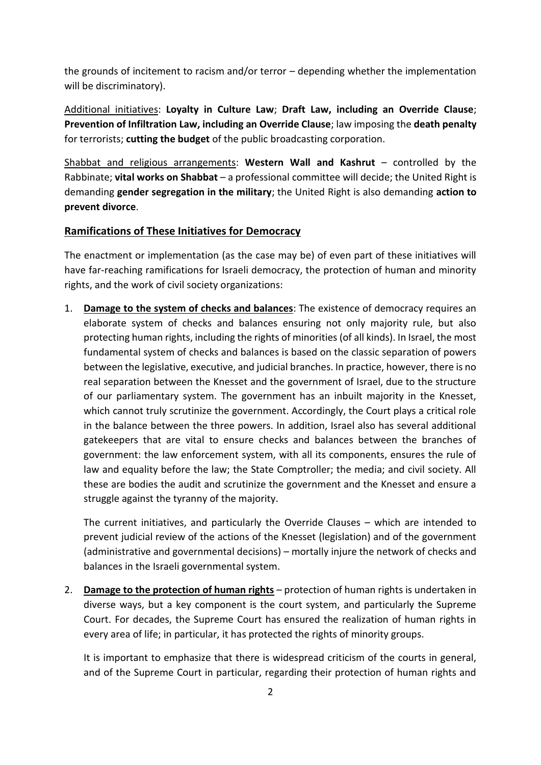the grounds of incitement to racism and/or terror – depending whether the implementation will be discriminatory).

Additional initiatives: **Loyalty in Culture Law**; **Draft Law, including an Override Clause**; **Prevention of Infiltration Law, including an Override Clause**; law imposing the **death penalty**  for terrorists; **cutting the budget** of the public broadcasting corporation.

Shabbat and religious arrangements: **Western Wall and Kashrut** – controlled by the Rabbinate; **vital works on Shabbat** – a professional committee will decide; the United Right is demanding **gender segregation in the military**; the United Right is also demanding **action to prevent divorce**.

## **Ramifications of These Initiatives for Democracy**

The enactment or implementation (as the case may be) of even part of these initiatives will have far-reaching ramifications for Israeli democracy, the protection of human and minority rights, and the work of civil society organizations:

1. **Damage to the system of checks and balances**: The existence of democracy requires an elaborate system of checks and balances ensuring not only majority rule, but also protecting human rights, including the rights of minorities (of all kinds). In Israel, the most fundamental system of checks and balances is based on the classic separation of powers between the legislative, executive, and judicial branches. In practice, however, there is no real separation between the Knesset and the government of Israel, due to the structure of our parliamentary system. The government has an inbuilt majority in the Knesset, which cannot truly scrutinize the government. Accordingly, the Court plays a critical role in the balance between the three powers. In addition, Israel also has several additional gatekeepers that are vital to ensure checks and balances between the branches of government: the law enforcement system, with all its components, ensures the rule of law and equality before the law; the State Comptroller; the media; and civil society. All these are bodies the audit and scrutinize the government and the Knesset and ensure a struggle against the tyranny of the majority.

The current initiatives, and particularly the Override Clauses – which are intended to prevent judicial review of the actions of the Knesset (legislation) and of the government (administrative and governmental decisions) – mortally injure the network of checks and balances in the Israeli governmental system.

2. **Damage to the protection of human rights** – protection of human rights is undertaken in diverse ways, but a key component is the court system, and particularly the Supreme Court. For decades, the Supreme Court has ensured the realization of human rights in every area of life; in particular, it has protected the rights of minority groups.

It is important to emphasize that there is widespread criticism of the courts in general, and of the Supreme Court in particular, regarding their protection of human rights and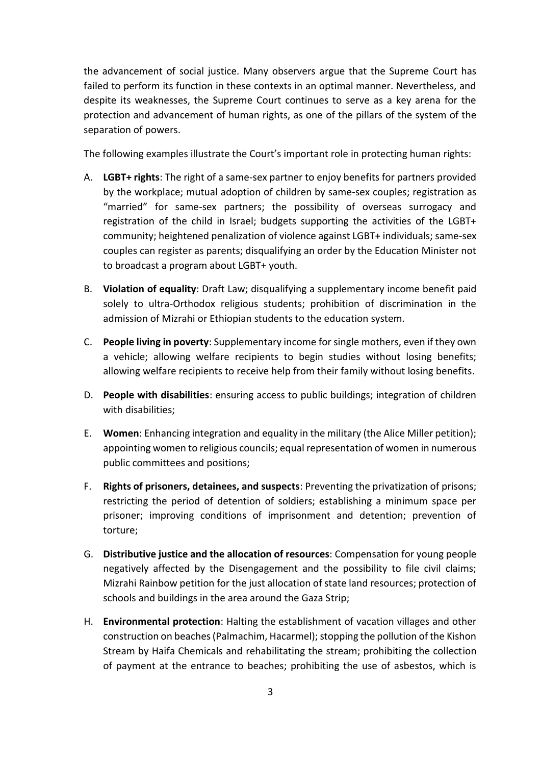the advancement of social justice. Many observers argue that the Supreme Court has failed to perform its function in these contexts in an optimal manner. Nevertheless, and despite its weaknesses, the Supreme Court continues to serve as a key arena for the protection and advancement of human rights, as one of the pillars of the system of the separation of powers.

The following examples illustrate the Court's important role in protecting human rights:

- A. **LGBT+ rights**: The right of a same-sex partner to enjoy benefits for partners provided by the workplace; mutual adoption of children by same-sex couples; registration as "married" for same-sex partners; the possibility of overseas surrogacy and registration of the child in Israel; budgets supporting the activities of the LGBT+ community; heightened penalization of violence against LGBT+ individuals; same-sex couples can register as parents; disqualifying an order by the Education Minister not to broadcast a program about LGBT+ youth.
- B. **Violation of equality**: Draft Law; disqualifying a supplementary income benefit paid solely to ultra-Orthodox religious students; prohibition of discrimination in the admission of Mizrahi or Ethiopian students to the education system.
- C. **People living in poverty**: Supplementary income for single mothers, even if they own a vehicle; allowing welfare recipients to begin studies without losing benefits; allowing welfare recipients to receive help from their family without losing benefits.
- D. **People with disabilities**: ensuring access to public buildings; integration of children with disabilities;
- E. **Women**: Enhancing integration and equality in the military (the Alice Miller petition); appointing women to religious councils; equal representation of women in numerous public committees and positions;
- F. **Rights of prisoners, detainees, and suspects**: Preventing the privatization of prisons; restricting the period of detention of soldiers; establishing a minimum space per prisoner; improving conditions of imprisonment and detention; prevention of torture;
- G. **Distributive justice and the allocation of resources**: Compensation for young people negatively affected by the Disengagement and the possibility to file civil claims; Mizrahi Rainbow petition for the just allocation of state land resources; protection of schools and buildings in the area around the Gaza Strip;
- H. **Environmental protection**: Halting the establishment of vacation villages and other construction on beaches (Palmachim, Hacarmel); stopping the pollution of the Kishon Stream by Haifa Chemicals and rehabilitating the stream; prohibiting the collection of payment at the entrance to beaches; prohibiting the use of asbestos, which is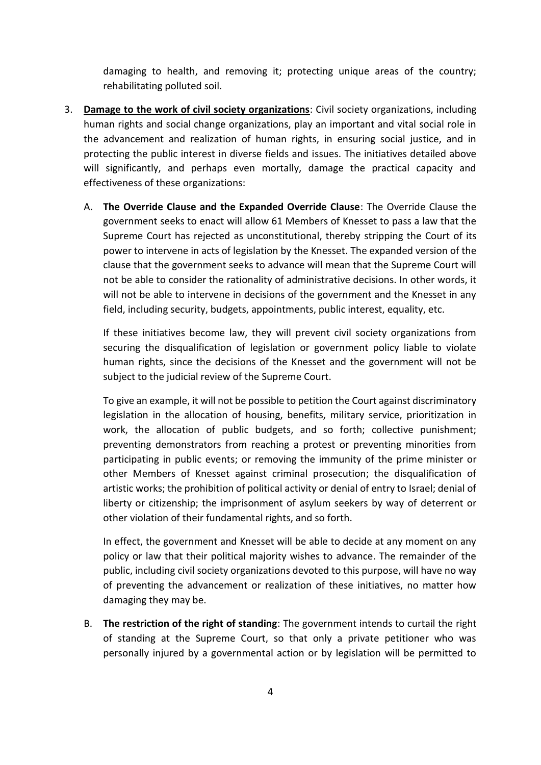damaging to health, and removing it; protecting unique areas of the country; rehabilitating polluted soil.

- 3. **Damage to the work of civil society organizations**: Civil society organizations, including human rights and social change organizations, play an important and vital social role in the advancement and realization of human rights, in ensuring social justice, and in protecting the public interest in diverse fields and issues. The initiatives detailed above will significantly, and perhaps even mortally, damage the practical capacity and effectiveness of these organizations:
	- A. **The Override Clause and the Expanded Override Clause**: The Override Clause the government seeks to enact will allow 61 Members of Knesset to pass a law that the Supreme Court has rejected as unconstitutional, thereby stripping the Court of its power to intervene in acts of legislation by the Knesset. The expanded version of the clause that the government seeks to advance will mean that the Supreme Court will not be able to consider the rationality of administrative decisions. In other words, it will not be able to intervene in decisions of the government and the Knesset in any field, including security, budgets, appointments, public interest, equality, etc.

If these initiatives become law, they will prevent civil society organizations from securing the disqualification of legislation or government policy liable to violate human rights, since the decisions of the Knesset and the government will not be subject to the judicial review of the Supreme Court.

To give an example, it will not be possible to petition the Court against discriminatory legislation in the allocation of housing, benefits, military service, prioritization in work, the allocation of public budgets, and so forth; collective punishment; preventing demonstrators from reaching a protest or preventing minorities from participating in public events; or removing the immunity of the prime minister or other Members of Knesset against criminal prosecution; the disqualification of artistic works; the prohibition of political activity or denial of entry to Israel; denial of liberty or citizenship; the imprisonment of asylum seekers by way of deterrent or other violation of their fundamental rights, and so forth.

In effect, the government and Knesset will be able to decide at any moment on any policy or law that their political majority wishes to advance. The remainder of the public, including civil society organizations devoted to this purpose, will have no way of preventing the advancement or realization of these initiatives, no matter how damaging they may be.

B. **The restriction of the right of standing**: The government intends to curtail the right of standing at the Supreme Court, so that only a private petitioner who was personally injured by a governmental action or by legislation will be permitted to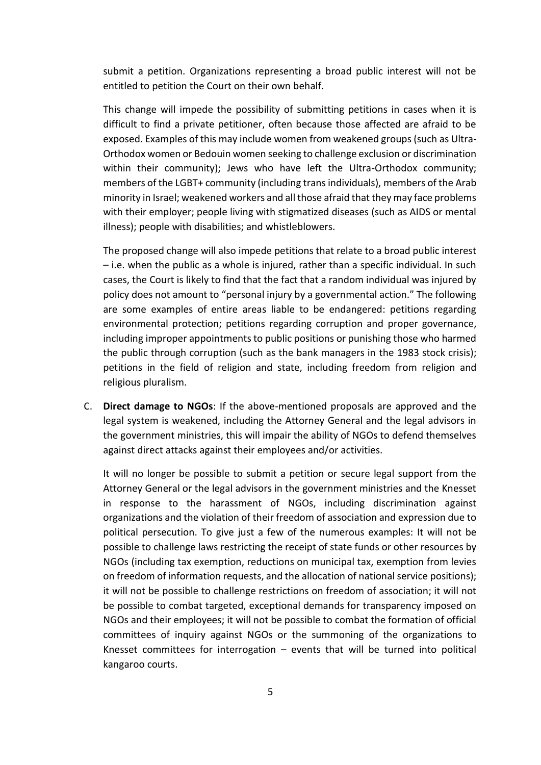submit a petition. Organizations representing a broad public interest will not be entitled to petition the Court on their own behalf.

This change will impede the possibility of submitting petitions in cases when it is difficult to find a private petitioner, often because those affected are afraid to be exposed. Examples of this may include women from weakened groups (such as Ultra-Orthodox women or Bedouin women seeking to challenge exclusion or discrimination within their community); Jews who have left the Ultra-Orthodox community; members of the LGBT+ community (including trans individuals), members of the Arab minority in Israel; weakened workers and all those afraid that they may face problems with their employer; people living with stigmatized diseases (such as AIDS or mental illness); people with disabilities; and whistleblowers.

The proposed change will also impede petitions that relate to a broad public interest – i.e. when the public as a whole is injured, rather than a specific individual. In such cases, the Court is likely to find that the fact that a random individual was injured by policy does not amount to "personal injury by a governmental action." The following are some examples of entire areas liable to be endangered: petitions regarding environmental protection; petitions regarding corruption and proper governance, including improper appointments to public positions or punishing those who harmed the public through corruption (such as the bank managers in the 1983 stock crisis); petitions in the field of religion and state, including freedom from religion and religious pluralism.

C. **Direct damage to NGOs**: If the above-mentioned proposals are approved and the legal system is weakened, including the Attorney General and the legal advisors in the government ministries, this will impair the ability of NGOs to defend themselves against direct attacks against their employees and/or activities.

It will no longer be possible to submit a petition or secure legal support from the Attorney General or the legal advisors in the government ministries and the Knesset in response to the harassment of NGOs, including discrimination against organizations and the violation of their freedom of association and expression due to political persecution. To give just a few of the numerous examples: It will not be possible to challenge laws restricting the receipt of state funds or other resources by NGOs (including tax exemption, reductions on municipal tax, exemption from levies on freedom of information requests, and the allocation of national service positions); it will not be possible to challenge restrictions on freedom of association; it will not be possible to combat targeted, exceptional demands for transparency imposed on NGOs and their employees; it will not be possible to combat the formation of official committees of inquiry against NGOs or the summoning of the organizations to Knesset committees for interrogation  $-$  events that will be turned into political kangaroo courts.